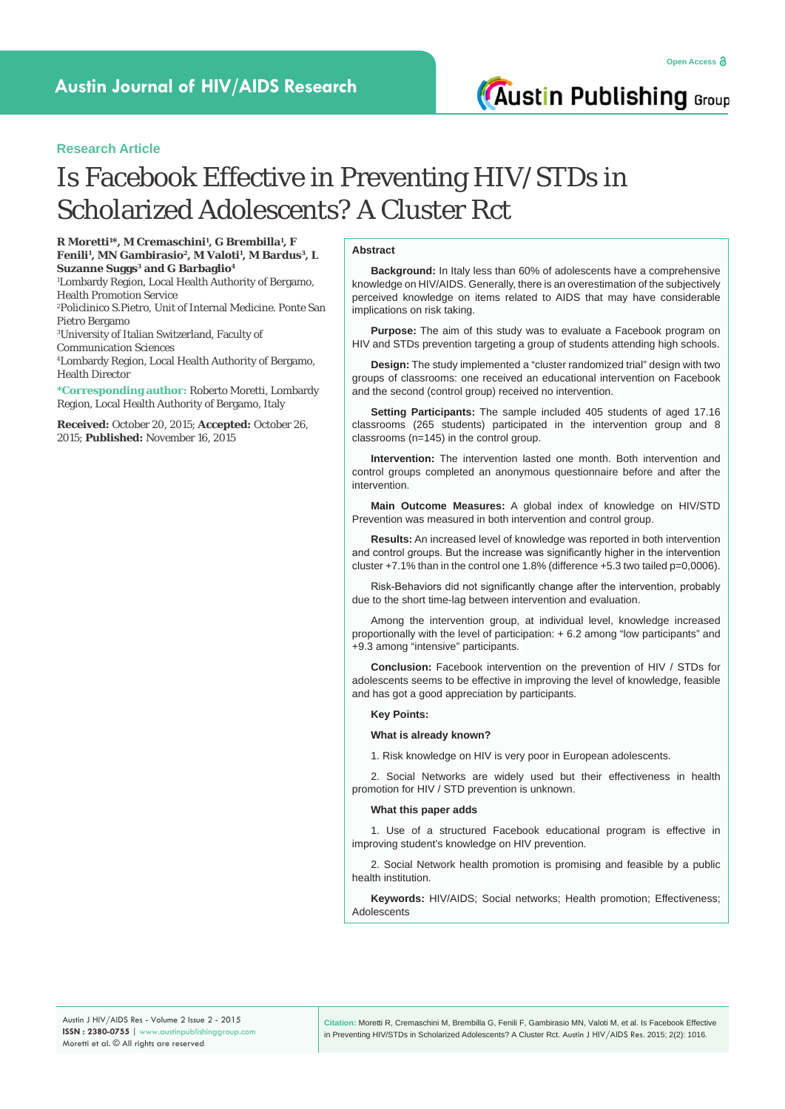# **Research Article**

# Is Facebook Effective in Preventing HIV/STDs in Scholarized Adolescents? A Cluster Rct

**R Moretti1 \*, M Cremaschini1 , G Brembilla1 , F Fenili1 , MN Gambirasio2, M Valoti1 , M Bardus3, L Suzanne Suggs<sup>3</sup> and G Barbaglio<sup>4</sup>** 

1 Lombardy Region, Local Health Authority of Bergamo, Health Promotion Service

2 Policlinico S.Pietro, Unit of Internal Medicine. Ponte San Pietro Bergamo

3 University of Italian Switzerland, Faculty of Communication Sciences

4 Lombardy Region, Local Health Authority of Bergamo, Health Director

**\*Corresponding author:** Roberto Moretti, Lombardy Region, Local Health Authority of Bergamo, Italy

**Received:** October 20, 2015; **Accepted:** October 26, 2015; **Published:** November 16, 2015

#### **Abstract**

**Background:** In Italy less than 60% of adolescents have a comprehensive knowledge on HIV/AIDS. Generally, there is an overestimation of the subjectively perceived knowledge on items related to AIDS that may have considerable implications on risk taking.

**Purpose:** The aim of this study was to evaluate a Facebook program on HIV and STDs prevention targeting a group of students attending high schools.

**Design:** The study implemented a "cluster randomized trial" design with two groups of classrooms: one received an educational intervention on Facebook and the second (control group) received no intervention.

**Setting Participants:** The sample included 405 students of aged 17.16 classrooms (265 students) participated in the intervention group and 8 classrooms (n=145) in the control group.

**Intervention:** The intervention lasted one month. Both intervention and control groups completed an anonymous questionnaire before and after the intervention.

**Main Outcome Measures:** A global index of knowledge on HIV/STD Prevention was measured in both intervention and control group.

**Results:** An increased level of knowledge was reported in both intervention and control groups. But the increase was significantly higher in the intervention cluster +7.1% than in the control one 1.8% (difference +5.3 two tailed p=0,0006).

Risk-Behaviors did not significantly change after the intervention, probably due to the short time-lag between intervention and evaluation.

Among the intervention group, at individual level, knowledge increased proportionally with the level of participation: + 6.2 among "low participants" and +9.3 among "intensive" participants.

**Conclusion:** Facebook intervention on the prevention of HIV / STDs for adolescents seems to be effective in improving the level of knowledge, feasible and has got a good appreciation by participants.

#### **Key Points:**

**What is already known?** 

1. Risk knowledge on HIV is very poor in European adolescents.

2. Social Networks are widely used but their effectiveness in health promotion for HIV / STD prevention is unknown.

#### **What this paper adds**

1. Use of a structured Facebook educational program is effective in improving student's knowledge on HIV prevention.

2. Social Network health promotion is promising and feasible by a public health institution.

**Keywords:** HIV/AIDS; Social networks; Health promotion; Effectiveness; **Adolescents** 

**Citation:** Moretti R, Cremaschini M, Brembilla G, Fenili F, Gambirasio MN, Valoti M, et al. Is Facebook Effective in Preventing HIV/STDs in Scholarized Adolescents? A Cluster Rct. Austin J HIV/AIDS Res. 2015; 2(2): 1016.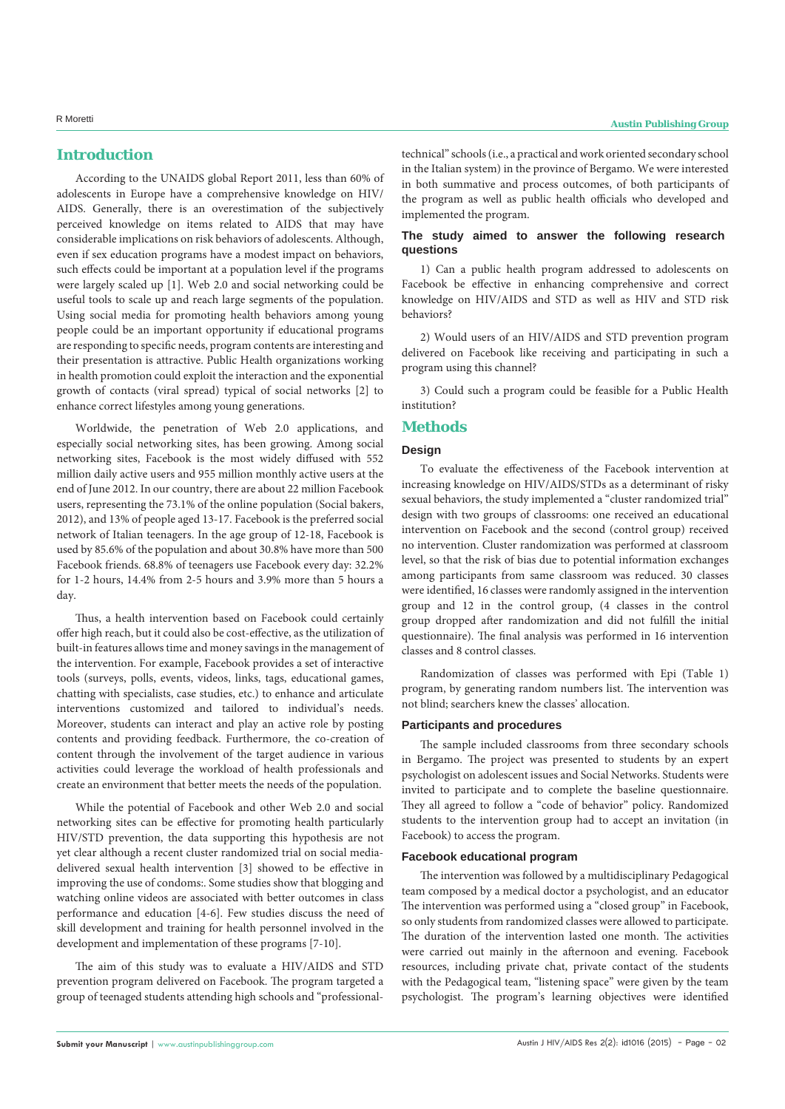# **Introduction**

According to the UNAIDS global Report 2011, less than 60% of adolescents in Europe have a comprehensive knowledge on HIV/ AIDS. Generally, there is an overestimation of the subjectively perceived knowledge on items related to AIDS that may have considerable implications on risk behaviors of adolescents. Although, even if sex education programs have a modest impact on behaviors, such effects could be important at a population level if the programs were largely scaled up [1]. Web 2.0 and social networking could be useful tools to scale up and reach large segments of the population. Using social media for promoting health behaviors among young people could be an important opportunity if educational programs are responding to specific needs, program contents are interesting and their presentation is attractive. Public Health organizations working in health promotion could exploit the interaction and the exponential growth of contacts (viral spread) typical of social networks [2] to enhance correct lifestyles among young generations.

Worldwide, the penetration of Web 2.0 applications, and especially social networking sites, has been growing. Among social networking sites, Facebook is the most widely diffused with 552 million daily active users and 955 million monthly active users at the end of June 2012. In our country, there are about 22 million Facebook users, representing the 73.1% of the online population (Social bakers, 2012), and 13% of people aged 13-17. Facebook is the preferred social network of Italian teenagers. In the age group of 12-18, Facebook is used by 85.6% of the population and about 30.8% have more than 500 Facebook friends. 68.8% of teenagers use Facebook every day: 32.2% for 1-2 hours, 14.4% from 2-5 hours and 3.9% more than 5 hours a day.

Thus, a health intervention based on Facebook could certainly offer high reach, but it could also be cost-effective, as the utilization of built-in features allows time and money savings in the management of the intervention. For example, Facebook provides a set of interactive tools (surveys, polls, events, videos, links, tags, educational games, chatting with specialists, case studies, etc.) to enhance and articulate interventions customized and tailored to individual's needs. Moreover, students can interact and play an active role by posting contents and providing feedback. Furthermore, the co-creation of content through the involvement of the target audience in various activities could leverage the workload of health professionals and create an environment that better meets the needs of the population.

While the potential of Facebook and other Web 2.0 and social networking sites can be effective for promoting health particularly HIV/STD prevention, the data supporting this hypothesis are not yet clear although a recent cluster randomized trial on social mediadelivered sexual health intervention [3] showed to be effective in improving the use of condoms:. Some studies show that blogging and watching online videos are associated with better outcomes in class performance and education [4-6]. Few studies discuss the need of skill development and training for health personnel involved in the development and implementation of these programs [7-10].

The aim of this study was to evaluate a HIV/AIDS and STD prevention program delivered on Facebook. The program targeted a group of teenaged students attending high schools and "professional-

# R Moretti **Austin Publishing Group**

technical" schools (i.e., a practical and work oriented secondary school in the Italian system) in the province of Bergamo. We were interested in both summative and process outcomes, of both participants of the program as well as public health officials who developed and implemented the program.

#### **The study aimed to answer the following research questions**

1) Can a public health program addressed to adolescents on Facebook be effective in enhancing comprehensive and correct knowledge on HIV/AIDS and STD as well as HIV and STD risk behaviors?

2) Would users of an HIV/AIDS and STD prevention program delivered on Facebook like receiving and participating in such a program using this channel?

3) Could such a program could be feasible for a Public Health institution?

### **Methods**

#### **Design**

To evaluate the effectiveness of the Facebook intervention at increasing knowledge on HIV/AIDS/STDs as a determinant of risky sexual behaviors, the study implemented a "cluster randomized trial" design with two groups of classrooms: one received an educational intervention on Facebook and the second (control group) received no intervention. Cluster randomization was performed at classroom level, so that the risk of bias due to potential information exchanges among participants from same classroom was reduced. 30 classes were identified, 16 classes were randomly assigned in the intervention group and 12 in the control group, (4 classes in the control group dropped after randomization and did not fulfill the initial questionnaire). The final analysis was performed in 16 intervention classes and 8 control classes.

Randomization of classes was performed with Epi (Table 1) program, by generating random numbers list. The intervention was not blind; searchers knew the classes' allocation.

#### **Participants and procedures**

The sample included classrooms from three secondary schools in Bergamo. The project was presented to students by an expert psychologist on adolescent issues and Social Networks. Students were invited to participate and to complete the baseline questionnaire. They all agreed to follow a "code of behavior" policy. Randomized students to the intervention group had to accept an invitation (in Facebook) to access the program.

#### **Facebook educational program**

The intervention was followed by a multidisciplinary Pedagogical team composed by a medical doctor a psychologist, and an educator The intervention was performed using a "closed group" in Facebook, so only students from randomized classes were allowed to participate. The duration of the intervention lasted one month. The activities were carried out mainly in the afternoon and evening. Facebook resources, including private chat, private contact of the students with the Pedagogical team, "listening space" were given by the team psychologist. The program's learning objectives were identified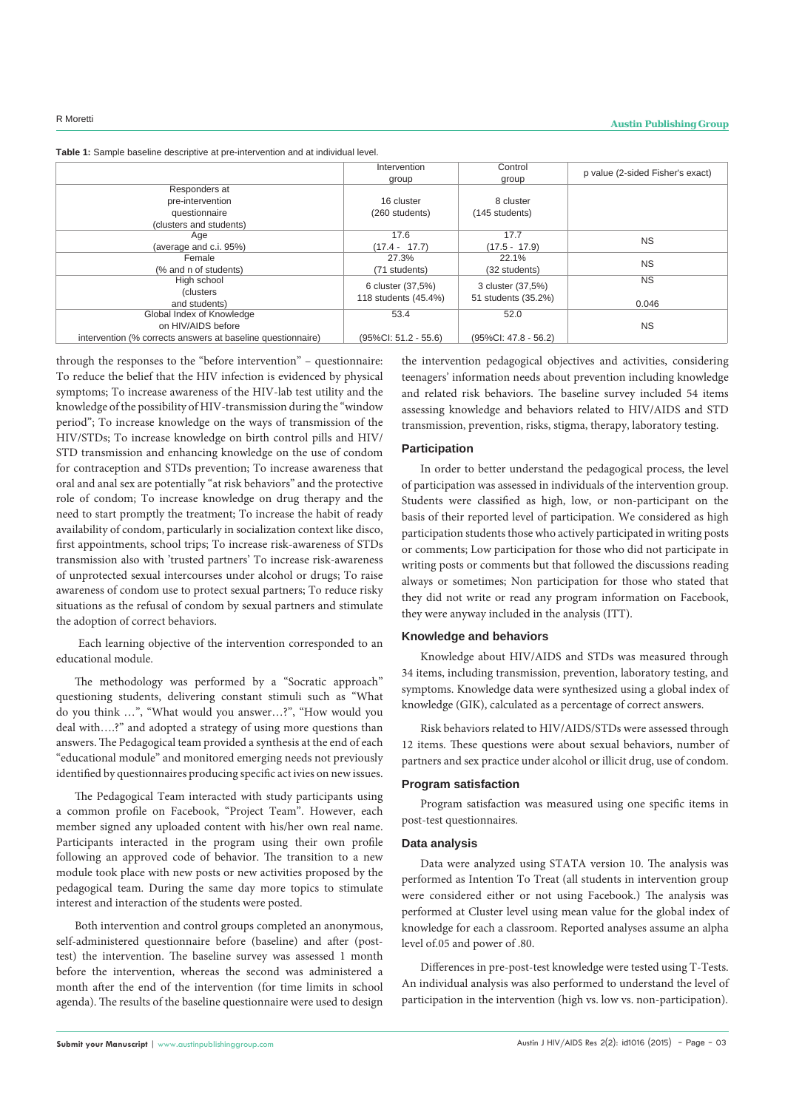| Table 1: Sample baseline descriptive at pre-intervention and at individual level. |  |
|-----------------------------------------------------------------------------------|--|
|-----------------------------------------------------------------------------------|--|

| Intervention            | Control                                   | p value (2-sided Fisher's exact)         |  |
|-------------------------|-------------------------------------------|------------------------------------------|--|
| group<br>group          |                                           |                                          |  |
|                         |                                           |                                          |  |
| 16 cluster              | 8 cluster                                 |                                          |  |
| (260 students)          | (145 students)                            |                                          |  |
|                         |                                           |                                          |  |
| 17.6                    | 17.7                                      | <b>NS</b>                                |  |
| $(17.4 - 17.7)$         | $(17.5 - 17.9)$                           |                                          |  |
| 27.3%                   | 22.1%                                     | <b>NS</b>                                |  |
| (71 students)           | (32 students)                             |                                          |  |
|                         |                                           | <b>NS</b>                                |  |
|                         |                                           |                                          |  |
|                         |                                           | 0.046                                    |  |
| 53.4                    | 52.0                                      |                                          |  |
|                         |                                           | <b>NS</b>                                |  |
| $(95\%CI: 51.2 - 55.6)$ | $(95\%$ CI: 47.8 - 56.2)                  |                                          |  |
|                         | 6 cluster (37,5%)<br>118 students (45.4%) | 3 cluster (37,5%)<br>51 students (35.2%) |  |

through the responses to the "before intervention" – questionnaire: To reduce the belief that the HIV infection is evidenced by physical symptoms; To increase awareness of the HIV-lab test utility and the knowledge of the possibility of HIV-transmission during the "window period"; To increase knowledge on the ways of transmission of the HIV/STDs; To increase knowledge on birth control pills and HIV/ STD transmission and enhancing knowledge on the use of condom for contraception and STDs prevention; To increase awareness that oral and anal sex are potentially "at risk behaviors" and the protective role of condom; To increase knowledge on drug therapy and the need to start promptly the treatment; To increase the habit of ready availability of condom, particularly in socialization context like disco, first appointments, school trips; To increase risk-awareness of STDs transmission also with 'trusted partners' To increase risk-awareness of unprotected sexual intercourses under alcohol or drugs; To raise awareness of condom use to protect sexual partners; To reduce risky situations as the refusal of condom by sexual partners and stimulate the adoption of correct behaviors.

 Each learning objective of the intervention corresponded to an educational module.

The methodology was performed by a "Socratic approach" questioning students, delivering constant stimuli such as "What do you think …", "What would you answer…?", "How would you deal with….?" and adopted a strategy of using more questions than answers. The Pedagogical team provided a synthesis at the end of each "educational module" and monitored emerging needs not previously identified by questionnaires producing specific act ivies on new issues.

The Pedagogical Team interacted with study participants using a common profile on Facebook, "Project Team". However, each member signed any uploaded content with his/her own real name. Participants interacted in the program using their own profile following an approved code of behavior. The transition to a new module took place with new posts or new activities proposed by the pedagogical team. During the same day more topics to stimulate interest and interaction of the students were posted.

Both intervention and control groups completed an anonymous, self-administered questionnaire before (baseline) and after (posttest) the intervention. The baseline survey was assessed 1 month before the intervention, whereas the second was administered a month after the end of the intervention (for time limits in school agenda). The results of the baseline questionnaire were used to design the intervention pedagogical objectives and activities, considering teenagers' information needs about prevention including knowledge and related risk behaviors. The baseline survey included 54 items assessing knowledge and behaviors related to HIV/AIDS and STD transmission, prevention, risks, stigma, therapy, laboratory testing.

#### **Participation**

In order to better understand the pedagogical process, the level of participation was assessed in individuals of the intervention group. Students were classified as high, low, or non-participant on the basis of their reported level of participation. We considered as high participation students those who actively participated in writing posts or comments; Low participation for those who did not participate in writing posts or comments but that followed the discussions reading always or sometimes; Non participation for those who stated that they did not write or read any program information on Facebook, they were anyway included in the analysis (ITT).

#### **Knowledge and behaviors**

Knowledge about HIV/AIDS and STDs was measured through 34 items, including transmission, prevention, laboratory testing, and symptoms. Knowledge data were synthesized using a global index of knowledge (GIK), calculated as a percentage of correct answers.

Risk behaviors related to HIV/AIDS/STDs were assessed through 12 items. These questions were about sexual behaviors, number of partners and sex practice under alcohol or illicit drug, use of condom.

#### **Program satisfaction**

Program satisfaction was measured using one specific items in post-test questionnaires.

#### **Data analysis**

Data were analyzed using STATA version 10. The analysis was performed as Intention To Treat (all students in intervention group were considered either or not using Facebook.) The analysis was performed at Cluster level using mean value for the global index of knowledge for each a classroom. Reported analyses assume an alpha level of.05 and power of .80.

Differences in pre-post-test knowledge were tested using T-Tests. An individual analysis was also performed to understand the level of participation in the intervention (high vs. low vs. non-participation).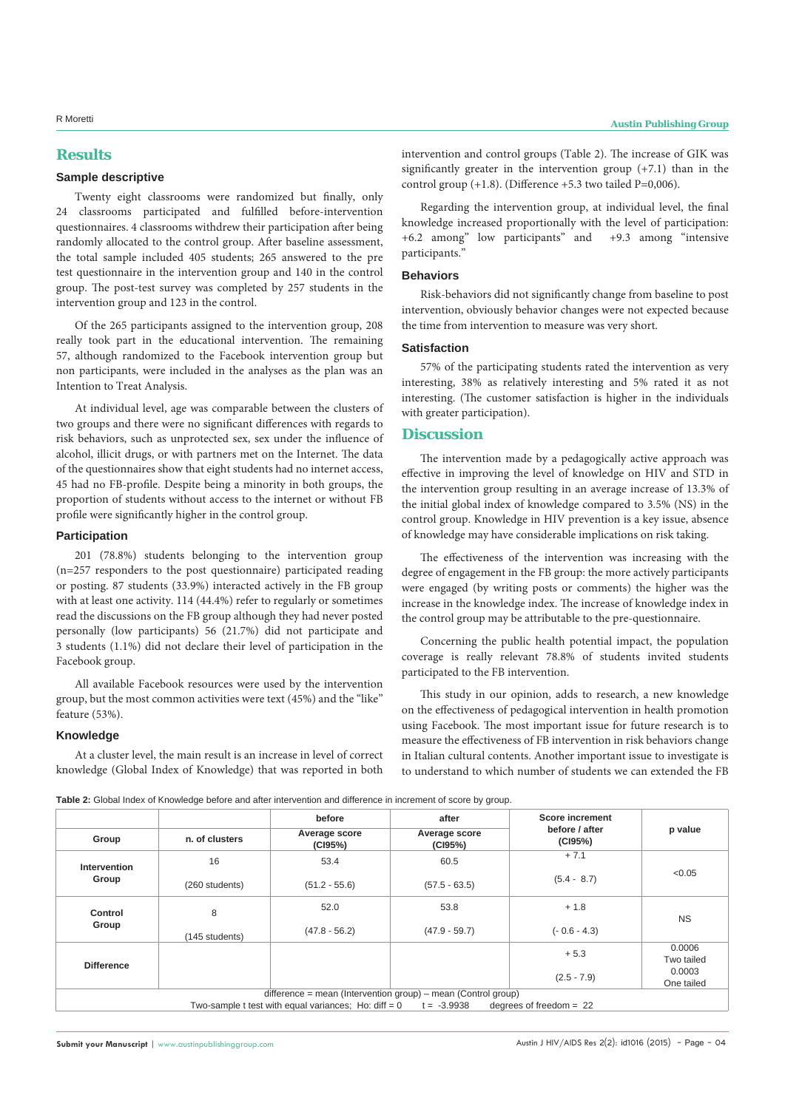# **Results**

#### **Sample descriptive**

Twenty eight classrooms were randomized but finally, only 24 classrooms participated and fulfilled before-intervention questionnaires. 4 classrooms withdrew their participation after being randomly allocated to the control group. After baseline assessment, the total sample included 405 students; 265 answered to the pre test questionnaire in the intervention group and 140 in the control group. The post-test survey was completed by 257 students in the intervention group and 123 in the control.

Of the 265 participants assigned to the intervention group, 208 really took part in the educational intervention. The remaining 57, although randomized to the Facebook intervention group but non participants, were included in the analyses as the plan was an Intention to Treat Analysis.

At individual level, age was comparable between the clusters of two groups and there were no significant differences with regards to risk behaviors, such as unprotected sex, sex under the influence of alcohol, illicit drugs, or with partners met on the Internet. The data of the questionnaires show that eight students had no internet access, 45 had no FB-profile. Despite being a minority in both groups, the proportion of students without access to the internet or without FB profile were significantly higher in the control group.

#### **Participation**

201 (78.8%) students belonging to the intervention group (n=257 responders to the post questionnaire) participated reading or posting. 87 students (33.9%) interacted actively in the FB group with at least one activity. 114 (44.4%) refer to regularly or sometimes read the discussions on the FB group although they had never posted personally (low participants) 56 (21.7%) did not participate and 3 students (1.1%) did not declare their level of participation in the Facebook group.

All available Facebook resources were used by the intervention group, but the most common activities were text (45%) and the "like" feature (53%).

#### **Knowledge**

At a cluster level, the main result is an increase in level of correct knowledge (Global Index of Knowledge) that was reported in both intervention and control groups (Table 2). The increase of GIK was significantly greater in the intervention group (+7.1) than in the control group  $(+1.8)$ . (Difference  $+5.3$  two tailed P=0,006).

Regarding the intervention group, at individual level, the final knowledge increased proportionally with the level of participation: +6.2 among" low participants" and +9.3 among "intensive participants.'

#### **Behaviors**

Risk-behaviors did not significantly change from baseline to post intervention, obviously behavior changes were not expected because the time from intervention to measure was very short.

#### **Satisfaction**

57% of the participating students rated the intervention as very interesting, 38% as relatively interesting and 5% rated it as not interesting. (The customer satisfaction is higher in the individuals with greater participation).

#### **Discussion**

The intervention made by a pedagogically active approach was effective in improving the level of knowledge on HIV and STD in the intervention group resulting in an average increase of 13.3% of the initial global index of knowledge compared to 3.5% (NS) in the control group. Knowledge in HIV prevention is a key issue, absence of knowledge may have considerable implications on risk taking.

The effectiveness of the intervention was increasing with the degree of engagement in the FB group: the more actively participants were engaged (by writing posts or comments) the higher was the increase in the knowledge index. The increase of knowledge index in the control group may be attributable to the pre-questionnaire.

Concerning the public health potential impact, the population coverage is really relevant 78.8% of students invited students participated to the FB intervention.

This study in our opinion, adds to research, a new knowledge on the effectiveness of pedagogical intervention in health promotion using Facebook. The most important issue for future research is to measure the effectiveness of FB intervention in risk behaviors change in Italian cultural contents. Another important issue to investigate is to understand to which number of students we can extended the FB

| Table 2: Global Index of Knowledge before and after intervention and difference in increment of score by group. |
|-----------------------------------------------------------------------------------------------------------------|
|-----------------------------------------------------------------------------------------------------------------|

|                       |                | before                                                 | after<br>Average score<br>(CI95%)                                            | Score increment           |                      |  |
|-----------------------|----------------|--------------------------------------------------------|------------------------------------------------------------------------------|---------------------------|----------------------|--|
| Group                 | n. of clusters | Average score<br>(CI95%)                               |                                                                              | before / after<br>(CI95%) | p value              |  |
| Intervention<br>Group | 16             | 53.4                                                   | 60.5                                                                         | $+7.1$                    |                      |  |
|                       | (260 students) | $(51.2 - 55.6)$                                        | $(57.5 - 63.5)$                                                              | $(5.4 - 8.7)$             | < 0.05               |  |
| Control<br>Group      | 8              | 52.0                                                   | 53.8                                                                         | $+1.8$                    | <b>NS</b>            |  |
|                       | (145 students) | $(47.8 - 56.2)$                                        | $(47.9 - 59.7)$                                                              | $(-0.6 - 4.3)$            |                      |  |
| <b>Difference</b>     |                |                                                        |                                                                              | $+5.3$                    | 0.0006<br>Two tailed |  |
|                       |                |                                                        |                                                                              | $(2.5 - 7.9)$             | 0.0003<br>One tailed |  |
|                       |                | Two-sample t test with equal variances; Ho: $diff = 0$ | $difference = mean (Interior group) - mean (Control group)$<br>$t = -3.9938$ | degrees of freedom $= 22$ |                      |  |